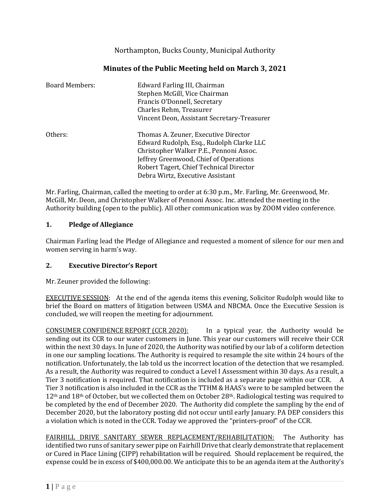Northampton, Bucks County, Municipal Authority

| Minutes of the Public Meeting held on March 3, 2021 |
|-----------------------------------------------------|
|-----------------------------------------------------|

| <b>Board Members:</b> | Edward Farling III, Chairman<br>Stephen McGill, Vice Chairman<br>Francis O'Donnell, Secretary<br>Charles Rehm, Treasurer<br>Vincent Deon, Assistant Secretary-Treasurer                                                                              |
|-----------------------|------------------------------------------------------------------------------------------------------------------------------------------------------------------------------------------------------------------------------------------------------|
| Others:               | Thomas A. Zeuner, Executive Director<br>Edward Rudolph, Esq., Rudolph Clarke LLC<br>Christopher Walker P.E., Pennoni Assoc.<br>Jeffrey Greenwood, Chief of Operations<br>Robert Tagert, Chief Technical Director<br>Debra Wirtz, Executive Assistant |

Mr. Farling, Chairman, called the meeting to order at 6:30 p.m., Mr. Farling, Mr. Greenwood, Mr. McGill, Mr. Deon, and Christopher Walker of Pennoni Assoc. Inc. attended the meeting in the Authority building (open to the public). All other communication was by ZOOM video conference.

# **1. Pledge of Allegiance**

Chairman Farling lead the Pledge of Allegiance and requested a moment of silence for our men and women serving in harm's way.

# **2. Executive Director's Report**

Mr. Zeuner provided the following:

EXECUTIVE SESSION: At the end of the agenda items this evening, Solicitor Rudolph would like to brief the Board on matters of litigation between USMA and NBCMA. Once the Executive Session is concluded, we will reopen the meeting for adjournment.

CONSUMER CONFIDENCE REPORT (CCR 2020): In a typical year, the Authority would be sending out its CCR to our water customers in June. This year our customers will receive their CCR within the next 30 days. In June of 2020, the Authority was notified by our lab of a coliform detection in one our sampling locations. The Authority is required to resample the site within 24 hours of the notification. Unfortunately, the lab told us the incorrect location of the detection that we resampled. As a result, the Authority was required to conduct a Level I Assessment within 30 days. As a result, a Tier 3 notification is required. That notification is included as a separate page within our CCR. A Tier 3 notification is also included in the CCR as the TTHM & HAAS's were to be sampled between the 12<sup>th</sup> and 18<sup>th</sup> of October, but we collected them on October 28<sup>th</sup>. Radiological testing was required to be completed by the end of December 2020. The Authority did complete the sampling by the end of December 2020, but the laboratory posting did not occur until early January. PA DEP considers this a violation which is noted in the CCR. Today we approved the "printers-proof" of the CCR.

FAIRHILL DRIVE SANITARY SEWER REPLACEMENT/REHABILITATION: The Authority has identified two runs of sanitary sewer pipe on Fairhill Drive that clearly demonstrate that replacement or Cured in Place Lining (CIPP) rehabilitation will be required. Should replacement be required, the expense could be in excess of \$400,000.00. We anticipate this to be an agenda item at the Authority's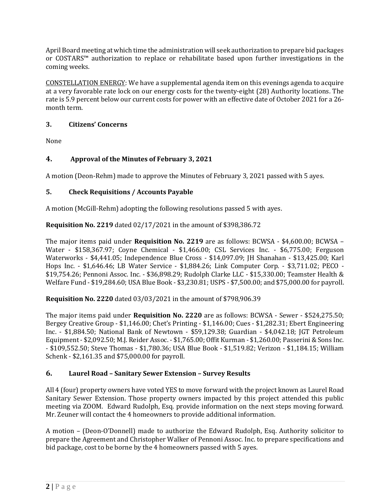April Board meeting at which time the administration will seek authorization to prepare bid packages or COSTARS™ authorization to replace or rehabilitate based upon further investigations in the coming weeks.

CONSTELLATION ENERGY: We have a supplemental agenda item on this evenings agenda to acquire at a very favorable rate lock on our energy costs for the twenty-eight (28) Authority locations. The rate is 5.9 percent below our current costs for power with an effective date of October 2021 for a 26 month term.

## **3. Citizens' Concerns**

None

# **4. Approval of the Minutes of February 3, 2021**

A motion (Deon-Rehm) made to approve the Minutes of February 3, 2021 passed with 5 ayes.

# **5. Check Requisitions / Accounts Payable**

A motion (McGill-Rehm) adopting the following resolutions passed 5 with ayes.

**Requisition No. 2219** dated 02/17/2021 in the amount of \$398,386.72

The major items paid under **Requisition No. 2219** are as follows: BCWSA - \$4,600.00; BCWSA – Water - \$158,367.97; Coyne Chemical - \$1,466.00; CSL Services Inc. - \$6,775.00; Ferguson Waterworks - \$4,441.05; Independence Blue Cross - \$14,097.09; JH Shanahan - \$13,425.00; Karl Hops Inc. - \$1,646.46; LB Water Service - \$1,884.26; Link Computer Corp. - \$3,711.02; PECO - \$19,754.26; Pennoni Assoc. Inc. - \$36,898.29; Rudolph Clarke LLC - \$15,330.00; Teamster Health & Welfare Fund - \$19,284.60; USA Blue Book - \$3,230.81; USPS - \$7,500.00; and \$75,000.00 for payroll.

**Requisition No. 2220** dated 03/03/2021 in the amount of \$798,906.39

The major items paid under **Requisition No. 2220** are as follows: BCWSA - Sewer - \$524,275.50; Bergey Creative Group - \$1,146.00; Chet's Printing - \$1,146.00; Cues - \$1,282.31; Ebert Engineering Inc. - \$1,884.50; National Bank of Newtown - \$59,129.38; Guardian - \$4,042.18; JGT Petroleum Equipment - \$2,092.50; M.J. Reider Assoc. - \$1,765.00; Offit Kurman - \$1,260.00; Passerini & Sons Inc. - \$109,552.50; Steve Thomas - \$1,780.36; USA Blue Book - \$1,519.82; Verizon - \$1,184.15; William Schenk - \$2,161.35 and \$75,000.00 for payroll.

# **6. Laurel Road – Sanitary Sewer Extension – Survey Results**

All 4 (four) property owners have voted YES to move forward with the project known as Laurel Road Sanitary Sewer Extension. Those property owners impacted by this project attended this public meeting via ZOOM. Edward Rudolph, Esq. provide information on the next steps moving forward. Mr. Zeuner will contact the 4 homeowners to provide additional information.

A motion – (Deon-O'Donnell) made to authorize the Edward Rudolph, Esq. Authority solicitor to prepare the Agreement and Christopher Walker of Pennoni Assoc. Inc. to prepare specifications and bid package, cost to be borne by the 4 homeowners passed with 5 ayes.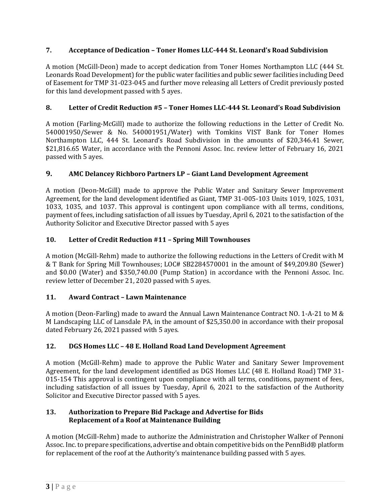## **7. Acceptance of Dedication – Toner Homes LLC-444 St. Leonard's Road Subdivision**

A motion (McGill-Deon) made to accept dedication from Toner Homes Northampton LLC (444 St. Leonards Road Development) for the public water facilities and public sewer facilities including Deed of Easement for TMP 31-023-045 and further move releasing all Letters of Credit previously posted for this land development passed with 5 ayes.

### **8. Letter of Credit Reduction #5 – Toner Homes LLC-444 St. Leonard's Road Subdivision**

A motion (Farling-McGill) made to authorize the following reductions in the Letter of Credit No. 540001950/Sewer & No. 540001951/Water) with Tomkins VIST Bank for Toner Homes Northampton LLC, 444 St. Leonard's Road Subdivision in the amounts of \$20,346.41 Sewer, \$21,816.65 Water, in accordance with the Pennoni Assoc. Inc. review letter of February 16, 2021 passed with 5 ayes.

## **9. AMC Delancey Richboro Partners LP – Giant Land Development Agreement**

A motion (Deon-McGill) made to approve the Public Water and Sanitary Sewer Improvement Agreement, for the land development identified as Giant, TMP 31-005-103 Units 1019, 1025, 1031, 1033, 1035, and 1037. This approval is contingent upon compliance with all terms, conditions, payment of fees, including satisfaction of all issues by Tuesday, April 6, 2021 to the satisfaction of the Authority Solicitor and Executive Director passed with 5 ayes

## **10. Letter of Credit Reduction #11 – Spring Mill Townhouses**

A motion (McGill-Rehm) made to authorize the following reductions in the Letters of Credit with M & T Bank for Spring Mill Townhouses; LOC# SB2284570001 in the amount of \$49,209.80 (Sewer) and \$0.00 (Water) and \$350,740.00 (Pump Station) in accordance with the Pennoni Assoc. Inc. review letter of December 21, 2020 passed with 5 ayes.

#### **11. Award Contract – Lawn Maintenance**

A motion (Deon-Farling) made to award the Annual Lawn Maintenance Contract NO. 1-A-21 to M & M Landscaping LLC of Lansdale PA, in the amount of \$25,350.00 in accordance with their proposal dated February 26, 2021 passed with 5 ayes.

#### **12. DGS Homes LLC – 48 E. Holland Road Land Development Agreement**

A motion (McGill-Rehm) made to approve the Public Water and Sanitary Sewer Improvement Agreement, for the land development identified as DGS Homes LLC (48 E. Holland Road) TMP 31- 015-154 This approval is contingent upon compliance with all terms, conditions, payment of fees, including satisfaction of all issues by Tuesday, April 6, 2021 to the satisfaction of the Authority Solicitor and Executive Director passed with 5 ayes.

#### **13. Authorization to Prepare Bid Package and Advertise for Bids Replacement of a Roof at Maintenance Building**

A motion (McGill-Rehm) made to authorize the Administration and Christopher Walker of Pennoni Assoc. Inc. to prepare specifications, advertise and obtain competitive bids on the PennBid® platform for replacement of the roof at the Authority's maintenance building passed with 5 ayes.